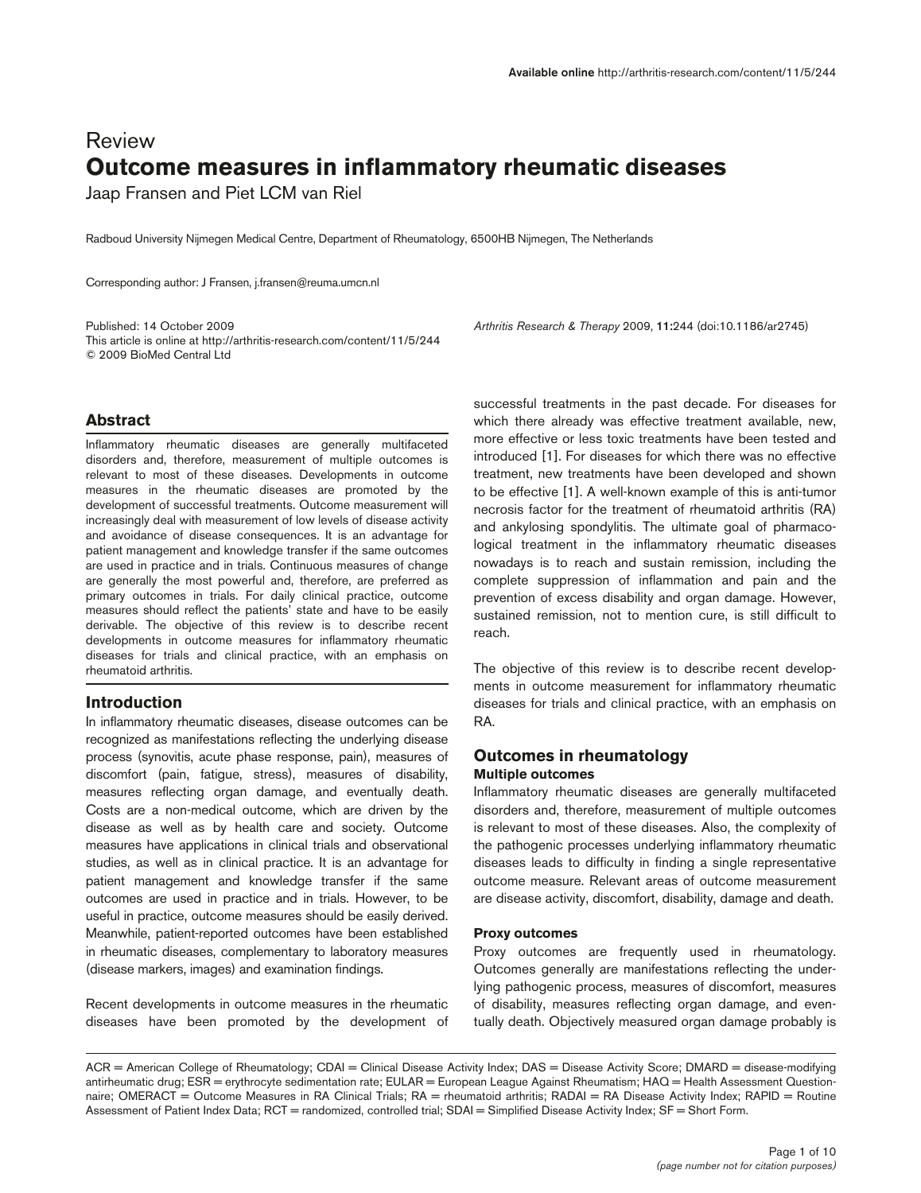# Review **Outcome measures in inflammatory rheumatic diseases**

Jaap Fransen and Piet LCM van Riel

Radboud University Nijmegen Medical Centre, Department of Rheumatology, 6500HB Nijmegen, The Netherlands

Corresponding author: J Fransen, j.fransen@reuma.umcn.nl

Published: 14 October 2009 *Arthritis Research & Therapy* 2009, **11:**244 (doi:10.1186/ar2745) This article is online at http://arthritis-research.com/content/11/5/244 © 2009 BioMed Central Ltd

## **Abstract**

Inflammatory rheumatic diseases are generally multifaceted disorders and, therefore, measurement of multiple outcomes is relevant to most of these diseases. Developments in outcome measures in the rheumatic diseases are promoted by the development of successful treatments. Outcome measurement will increasingly deal with measurement of low levels of disease activity and avoidance of disease consequences. It is an advantage for patient management and knowledge transfer if the same outcomes are used in practice and in trials. Continuous measures of change are generally the most powerful and, therefore, are preferred as primary outcomes in trials. For daily clinical practice, outcome measures should reflect the patients' state and have to be easily derivable. The objective of this review is to describe recent developments in outcome measures for inflammatory rheumatic diseases for trials and clinical practice, with an emphasis on rheumatoid arthritis.

## **Introduction**

In inflammatory rheumatic diseases, disease outcomes can be recognized as manifestations reflecting the underlying disease process (synovitis, acute phase response, pain), measures of discomfort (pain, fatigue, stress), measures of disability, measures reflecting organ damage, and eventually death. Costs are a non-medical outcome, which are driven by the disease as well as by health care and society. Outcome measures have applications in clinical trials and observational studies, as well as in clinical practice. It is an advantage for patient management and knowledge transfer if the same outcomes are used in practice and in trials. However, to be useful in practice, outcome measures should be easily derived. Meanwhile, patient-reported outcomes have been established in rheumatic diseases, complementary to laboratory measures (disease markers, images) and examination findings.

Recent developments in outcome measures in the rheumatic diseases have been promoted by the development of successful treatments in the past decade. For diseases for which there already was effective treatment available, new, more effective or less toxic treatments have been tested and introduced [1]. For diseases for which there was no effective treatment, new treatments have been developed and shown to be effective [1]. A well-known example of this is anti-tumor necrosis factor for the treatment of rheumatoid arthritis (RA) and ankylosing spondylitis. The ultimate goal of pharmacological treatment in the inflammatory rheumatic diseases nowadays is to reach and sustain remission, including the complete suppression of inflammation and pain and the prevention of excess disability and organ damage. However, sustained remission, not to mention cure, is still difficult to reach.

The objective of this review is to describe recent developments in outcome measurement for inflammatory rheumatic diseases for trials and clinical practice, with an emphasis on RA.

## **Outcomes in rheumatology Multiple outcomes**

Inflammatory rheumatic diseases are generally multifaceted disorders and, therefore, measurement of multiple outcomes is relevant to most of these diseases. Also, the complexity of the pathogenic processes underlying inflammatory rheumatic diseases leads to difficulty in finding a single representative outcome measure. Relevant areas of outcome measurement are disease activity, discomfort, disability, damage and death.

#### **Proxy outcomes**

Proxy outcomes are frequently used in rheumatology. Outcomes generally are manifestations reflecting the underlying pathogenic process, measures of discomfort, measures of disability, measures reflecting organ damage, and eventually death. Objectively measured organ damage probably is

ACR = American College of Rheumatology; CDAI = Clinical Disease Activity Index; DAS = Disease Activity Score; DMARD = disease-modifying antirheumatic drug; ESR = erythrocyte sedimentation rate; EULAR = European League Against Rheumatism; HAQ = Health Assessment Questionnaire; OMERACT = Outcome Measures in RA Clinical Trials; RA = rheumatoid arthritis; RADAI = RA Disease Activity Index; RAPID = Routine Assessment of Patient Index Data; RCT = randomized, controlled trial; SDAI = Simplified Disease Activity Index; SF = Short Form.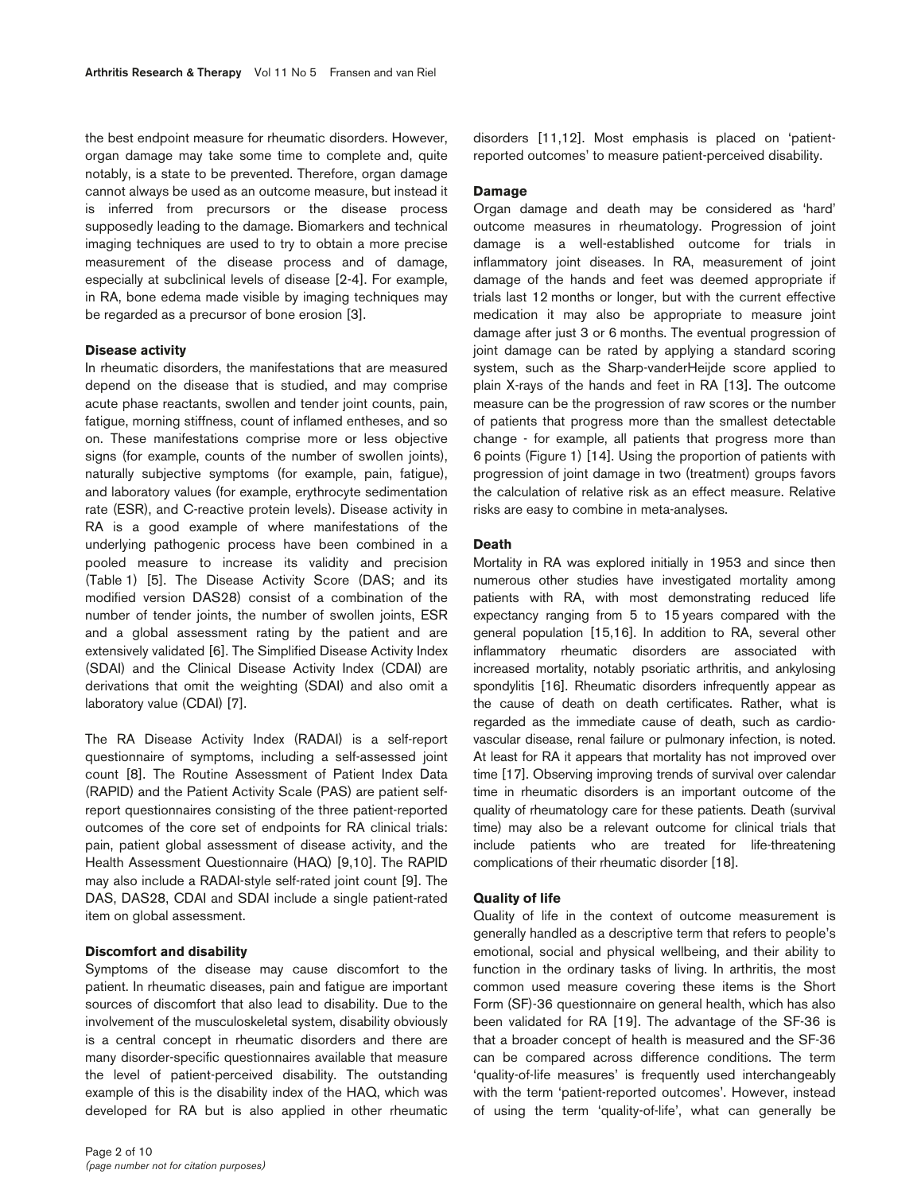the best endpoint measure for rheumatic disorders. However, organ damage may take some time to complete and, quite notably, is a state to be prevented. Therefore, organ damage cannot always be used as an outcome measure, but instead it is inferred from precursors or the disease process supposedly leading to the damage. Biomarkers and technical imaging techniques are used to try to obtain a more precise measurement of the disease process and of damage, especially at subclinical levels of disease [2-4]. For example, in RA, bone edema made visible by imaging techniques may be regarded as a precursor of bone erosion [3].

## **Disease activity**

In rheumatic disorders, the manifestations that are measured depend on the disease that is studied, and may comprise acute phase reactants, swollen and tender joint counts, pain, fatigue, morning stiffness, count of inflamed entheses, and so on. These manifestations comprise more or less objective signs (for example, counts of the number of swollen joints), naturally subjective symptoms (for example, pain, fatigue), and laboratory values (for example, erythrocyte sedimentation rate (ESR), and C-reactive protein levels). Disease activity in RA is a good example of where manifestations of the underlying pathogenic process have been combined in a pooled measure to increase its validity and precision (Table 1) [5]. The Disease Activity Score (DAS; and its modified version DAS28) consist of a combination of the number of tender joints, the number of swollen joints, ESR and a global assessment rating by the patient and are extensively validated [6]. The Simplified Disease Activity Index (SDAI) and the Clinical Disease Activity Index (CDAI) are derivations that omit the weighting (SDAI) and also omit a laboratory value (CDAI) [7].

The RA Disease Activity Index (RADAI) is a self-report questionnaire of symptoms, including a self-assessed joint count [8]. The Routine Assessment of Patient Index Data (RAPID) and the Patient Activity Scale (PAS) are patient selfreport questionnaires consisting of the three patient-reported outcomes of the core set of endpoints for RA clinical trials: pain, patient global assessment of disease activity, and the Health Assessment Questionnaire (HAQ) [9,10]. The RAPID may also include a RADAI-style self-rated joint count [9]. The DAS, DAS28, CDAI and SDAI include a single patient-rated item on global assessment.

## **Discomfort and disability**

Symptoms of the disease may cause discomfort to the patient. In rheumatic diseases, pain and fatigue are important sources of discomfort that also lead to disability. Due to the involvement of the musculoskeletal system, disability obviously is a central concept in rheumatic disorders and there are many disorder-specific questionnaires available that measure the level of patient-perceived disability. The outstanding example of this is the disability index of the HAQ, which was developed for RA but is also applied in other rheumatic disorders [11,12]. Most emphasis is placed on 'patientreported outcomes' to measure patient-perceived disability.

## **Damage**

Organ damage and death may be considered as 'hard' outcome measures in rheumatology. Progression of joint damage is a well-established outcome for trials in inflammatory joint diseases. In RA, measurement of joint damage of the hands and feet was deemed appropriate if trials last 12 months or longer, but with the current effective medication it may also be appropriate to measure joint damage after just 3 or 6 months. The eventual progression of joint damage can be rated by applying a standard scoring system, such as the Sharp-vanderHeijde score applied to plain X-rays of the hands and feet in RA [13]. The outcome measure can be the progression of raw scores or the number of patients that progress more than the smallest detectable change - for example, all patients that progress more than 6 points (Figure 1) [14]. Using the proportion of patients with progression of joint damage in two (treatment) groups favors the calculation of relative risk as an effect measure. Relative risks are easy to combine in meta-analyses.

## **Death**

Mortality in RA was explored initially in 1953 and since then numerous other studies have investigated mortality among patients with RA, with most demonstrating reduced life expectancy ranging from 5 to 15 years compared with the general population [15,16]. In addition to RA, several other inflammatory rheumatic disorders are associated with increased mortality, notably psoriatic arthritis, and ankylosing spondylitis [16]. Rheumatic disorders infrequently appear as the cause of death on death certificates. Rather, what is regarded as the immediate cause of death, such as cardiovascular disease, renal failure or pulmonary infection, is noted. At least for RA it appears that mortality has not improved over time [17]. Observing improving trends of survival over calendar time in rheumatic disorders is an important outcome of the quality of rheumatology care for these patients. Death (survival time) may also be a relevant outcome for clinical trials that include patients who are treated for life-threatening complications of their rheumatic disorder [18].

#### **Quality of life**

Quality of life in the context of outcome measurement is generally handled as a descriptive term that refers to people's emotional, social and physical wellbeing, and their ability to function in the ordinary tasks of living. In arthritis, the most common used measure covering these items is the Short Form (SF)-36 questionnaire on general health, which has also been validated for RA [19]. The advantage of the SF-36 is that a broader concept of health is measured and the SF-36 can be compared across difference conditions. The term 'quality-of-life measures' is frequently used interchangeably with the term 'patient-reported outcomes'. However, instead of using the term 'quality-of-life', what can generally be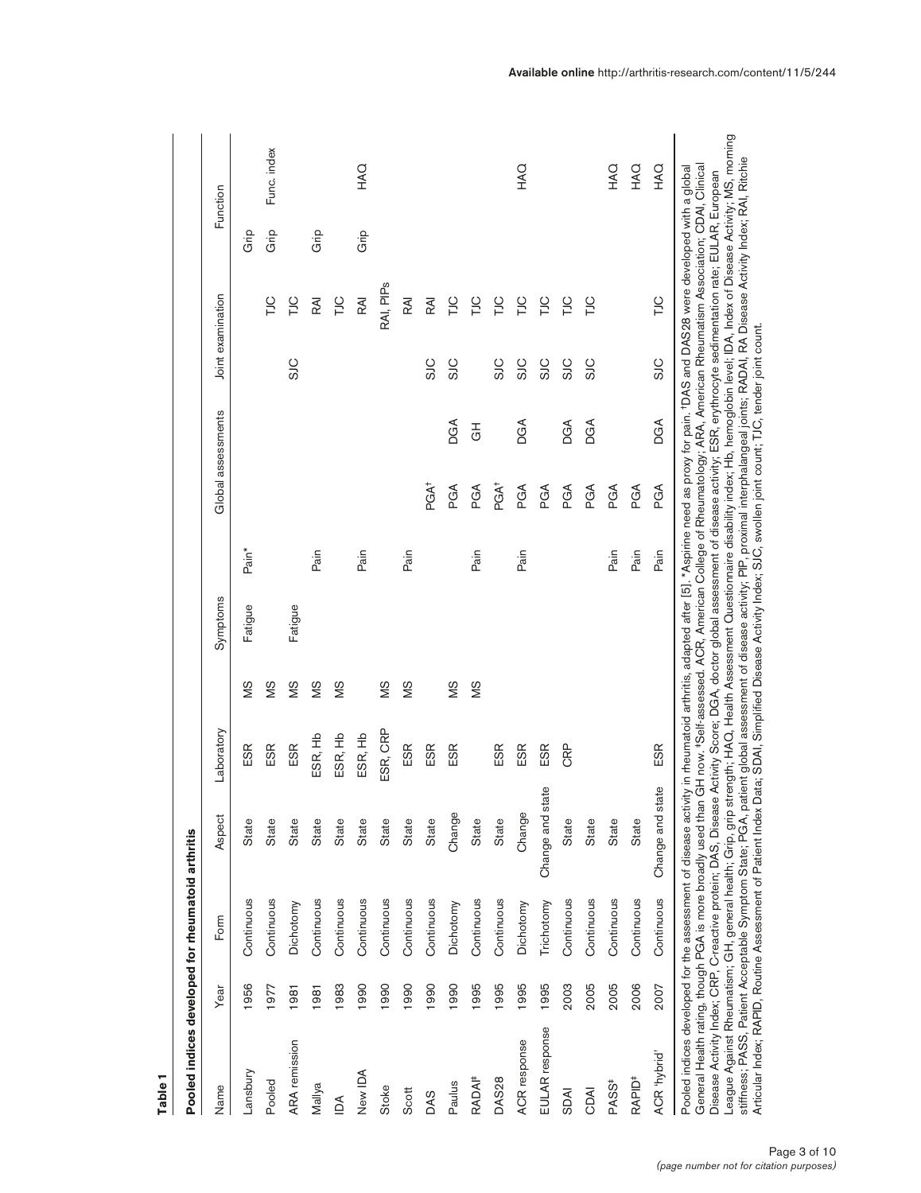|                    |      | Pooled indices developed for rheumatoid arthritis                                                                                                                                                                                                                                                                                                                                                                                                                                                                                                                                                                                                                                                                                                                                                                                                                                 |                  |            |    |                                                                                                                     |                   |                    |     |                   |                       |      |                                                                                                                                   |
|--------------------|------|-----------------------------------------------------------------------------------------------------------------------------------------------------------------------------------------------------------------------------------------------------------------------------------------------------------------------------------------------------------------------------------------------------------------------------------------------------------------------------------------------------------------------------------------------------------------------------------------------------------------------------------------------------------------------------------------------------------------------------------------------------------------------------------------------------------------------------------------------------------------------------------|------------------|------------|----|---------------------------------------------------------------------------------------------------------------------|-------------------|--------------------|-----|-------------------|-----------------------|------|-----------------------------------------------------------------------------------------------------------------------------------|
| Name               | Year | Form                                                                                                                                                                                                                                                                                                                                                                                                                                                                                                                                                                                                                                                                                                                                                                                                                                                                              | Aspect           | Laboratory |    | Symptoms                                                                                                            |                   | Global assessments |     | Joint examination |                       |      | Function                                                                                                                          |
| Lansbury           | 1956 | Continuous                                                                                                                                                                                                                                                                                                                                                                                                                                                                                                                                                                                                                                                                                                                                                                                                                                                                        | State            | ESR        | SM | Fatigue                                                                                                             | Pain <sup>*</sup> |                    |     |                   |                       | Grip |                                                                                                                                   |
| Pooled             | 1977 | Continuous                                                                                                                                                                                                                                                                                                                                                                                                                                                                                                                                                                                                                                                                                                                                                                                                                                                                        | State            | ESR        | SM |                                                                                                                     |                   |                    |     |                   | ГJС                   | Grip | Func. index                                                                                                                       |
| ARA remission      | 1981 | Dichotomy                                                                                                                                                                                                                                                                                                                                                                                                                                                                                                                                                                                                                                                                                                                                                                                                                                                                         | State            | ESR        | SM | Fatigue                                                                                                             |                   |                    |     | SIC               | ГJС                   |      |                                                                                                                                   |
| Mallya             | 1981 | Continuous                                                                                                                                                                                                                                                                                                                                                                                                                                                                                                                                                                                                                                                                                                                                                                                                                                                                        | State            | ESR, Hb    | SM |                                                                                                                     | Pain              |                    |     |                   | <b>RAI</b>            | Grip |                                                                                                                                   |
| Δ                  | 1983 | Continuous                                                                                                                                                                                                                                                                                                                                                                                                                                                                                                                                                                                                                                                                                                                                                                                                                                                                        | State            | ESR, Hb    | SM |                                                                                                                     |                   |                    |     |                   | ГJC                   |      |                                                                                                                                   |
| New IDA            | 1990 | Continuous                                                                                                                                                                                                                                                                                                                                                                                                                                                                                                                                                                                                                                                                                                                                                                                                                                                                        | State            | ESR, Hb    |    |                                                                                                                     | Pain              |                    |     |                   | <b>RAI</b>            | Grip | HAQ                                                                                                                               |
| Stoke              | 1990 | Continuous                                                                                                                                                                                                                                                                                                                                                                                                                                                                                                                                                                                                                                                                                                                                                                                                                                                                        | State            | ESR, CRP   | SM |                                                                                                                     |                   |                    |     |                   | RAI, PIP <sub>S</sub> |      |                                                                                                                                   |
| Scott              | 1990 | Continuous                                                                                                                                                                                                                                                                                                                                                                                                                                                                                                                                                                                                                                                                                                                                                                                                                                                                        | State            | ESR        | SM |                                                                                                                     | Pain              |                    |     |                   | <b>RAI</b>            |      |                                                                                                                                   |
| DAS                | 1990 | Continuous                                                                                                                                                                                                                                                                                                                                                                                                                                                                                                                                                                                                                                                                                                                                                                                                                                                                        | State            | ESR        |    |                                                                                                                     |                   | PGA <sup>+</sup>   |     | SJC               | RAI                   |      |                                                                                                                                   |
| Paulus             | 1990 | Dichotomy                                                                                                                                                                                                                                                                                                                                                                                                                                                                                                                                                                                                                                                                                                                                                                                                                                                                         | Change           | ESR        | SM |                                                                                                                     |                   | PGA                | DGA | SIC               | $\frac{1}{2}$         |      |                                                                                                                                   |
| RADA <sup> +</sup> | 1995 | Continuous                                                                                                                                                                                                                                                                                                                                                                                                                                                                                                                                                                                                                                                                                                                                                                                                                                                                        | State            |            | SM |                                                                                                                     | Pain              | PGA                | 공   |                   | $\sum_{i=1}^{n}$      |      |                                                                                                                                   |
| <b>DAS28</b>       | 1995 | Continuous                                                                                                                                                                                                                                                                                                                                                                                                                                                                                                                                                                                                                                                                                                                                                                                                                                                                        | State            | ESR        |    |                                                                                                                     |                   | PGA <sup>+</sup>   |     | SIC               | $\sum_{i=1}^{n}$      |      |                                                                                                                                   |
| ACR response       | 1995 | Dichotomy                                                                                                                                                                                                                                                                                                                                                                                                                                                                                                                                                                                                                                                                                                                                                                                                                                                                         | Change           | ESR        |    |                                                                                                                     | Pain              | PGA                | DGA | SJC               | ГJС                   |      | HAQ                                                                                                                               |
| EULAR response     | 1995 | Trichotomy                                                                                                                                                                                                                                                                                                                                                                                                                                                                                                                                                                                                                                                                                                                                                                                                                                                                        | Change and state | ESR        |    |                                                                                                                     |                   | PGA                |     | SJC               | ГJС                   |      |                                                                                                                                   |
| <b>IVGS</b>        | 2003 | Continuous                                                                                                                                                                                                                                                                                                                                                                                                                                                                                                                                                                                                                                                                                                                                                                                                                                                                        | State            | <b>GRP</b> |    |                                                                                                                     |                   | PGA                | DGA | SJC               | $\frac{1}{2}$         |      |                                                                                                                                   |
| CDAI               | 2005 | Continuous                                                                                                                                                                                                                                                                                                                                                                                                                                                                                                                                                                                                                                                                                                                                                                                                                                                                        | State            |            |    |                                                                                                                     |                   | PGA                | DGA | SJC               | $\frac{1}{2}$         |      |                                                                                                                                   |
| PASS <sup>#</sup>  | 2005 | Continuous                                                                                                                                                                                                                                                                                                                                                                                                                                                                                                                                                                                                                                                                                                                                                                                                                                                                        | State            |            |    |                                                                                                                     | Pain              | PGA                |     |                   |                       |      | HAQ                                                                                                                               |
| RAPID <sup>#</sup> | 2006 | Continuous                                                                                                                                                                                                                                                                                                                                                                                                                                                                                                                                                                                                                                                                                                                                                                                                                                                                        | State            |            |    |                                                                                                                     | Pain              | PGA                |     |                   |                       |      | <b>DWH</b>                                                                                                                        |
| ACR 'hybrid'       | 2007 | Continuous                                                                                                                                                                                                                                                                                                                                                                                                                                                                                                                                                                                                                                                                                                                                                                                                                                                                        | Change and state | ESR        |    |                                                                                                                     | Pain              | PGA                | DGA | SIC               | <b>DC</b>             |      | HAQ                                                                                                                               |
|                    |      | stiffness; PASS, Patient Acceptable Symptom State; PGA, patient global assessment of disease activity; PIP, proximal interphalangeal joints; RADAI, RA Disease Activity Index; RAI, Rtichie<br>Pooled indices developed for the assessment of disease activity in rheumatoid arthritis, adapted after [5]. *Aspirine need as proxy for pain. †DAS and DAS28 were developed with a global<br>Disease Activity Index; CRP, C-reactive protein; DAS, Disease Activity Score; DGA, doctor global assessment of disease activity; ESR, erythrocyte sedimentation rate; EULAR, European<br>Articular Index; RAPID, Routine Assessment of Patient Index Data; SDAI, Simplified Disease Activity Index; SJC, swollen joint count; TJC, tender joint count.<br>General Health rating, though PGA is more broadly used than<br>League Against Rheumatism; GH, general health; Grip, grip st |                  |            |    | GH now. *Self-assessed. ACR, American College of Rheumatology; ARA, American Rheumatism Association; CDAI, Clinical |                   |                    |     |                   |                       |      | trength; HAQ, Health Assessment Questionnaire disability index; Hb, hemoglobin level; IDA, Index of Disease Activity; MS, morning |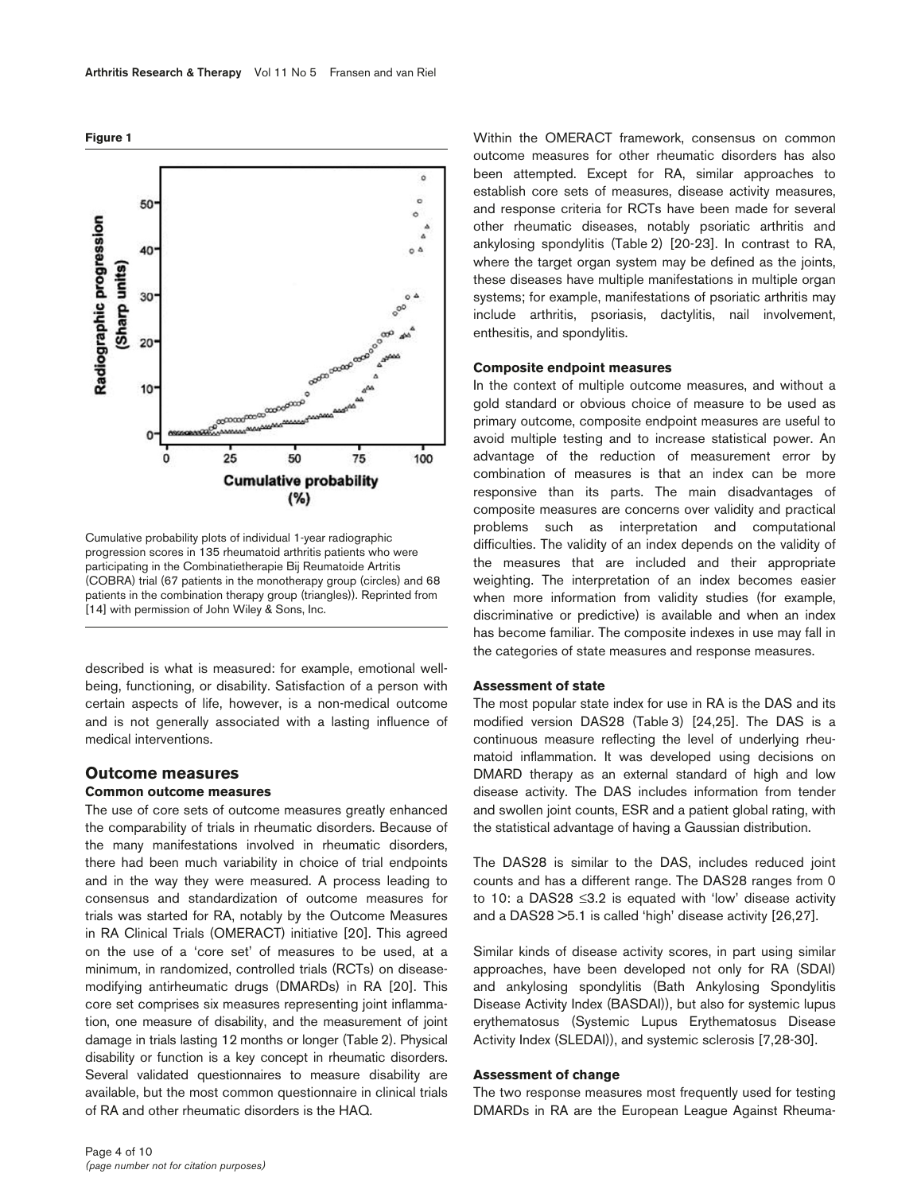



Cumulative probability plots of individual 1-year radiographic progression scores in 135 rheumatoid arthritis patients who were participating in the Combinatietherapie Bij Reumatoide Artritis (COBRA) trial (67 patients in the monotherapy group (circles) and 68 patients in the combination therapy group (triangles)). Reprinted from [14] with permission of John Wiley & Sons, Inc.

described is what is measured: for example, emotional wellbeing, functioning, or disability. Satisfaction of a person with certain aspects of life, however, is a non-medical outcome and is not generally associated with a lasting influence of medical interventions.

## **Outcome measures**

## **Common outcome measures**

The use of core sets of outcome measures greatly enhanced the comparability of trials in rheumatic disorders. Because of the many manifestations involved in rheumatic disorders, there had been much variability in choice of trial endpoints and in the way they were measured. A process leading to consensus and standardization of outcome measures for trials was started for RA, notably by the Outcome Measures in RA Clinical Trials (OMERACT) initiative [20]. This agreed on the use of a 'core set' of measures to be used, at a minimum, in randomized, controlled trials (RCTs) on diseasemodifying antirheumatic drugs (DMARDs) in RA [20]. This core set comprises six measures representing joint inflammation, one measure of disability, and the measurement of joint damage in trials lasting 12 months or longer (Table 2). Physical disability or function is a key concept in rheumatic disorders. Several validated questionnaires to measure disability are available, but the most common questionnaire in clinical trials of RA and other rheumatic disorders is the HAQ.

Within the OMERACT framework, consensus on common outcome measures for other rheumatic disorders has also been attempted. Except for RA, similar approaches to establish core sets of measures, disease activity measures, and response criteria for RCTs have been made for several other rheumatic diseases, notably psoriatic arthritis and ankylosing spondylitis (Table 2) [20-23]. In contrast to RA, where the target organ system may be defined as the joints, these diseases have multiple manifestations in multiple organ systems; for example, manifestations of psoriatic arthritis may include arthritis, psoriasis, dactylitis, nail involvement, enthesitis, and spondylitis.

## **Composite endpoint measures**

In the context of multiple outcome measures, and without a gold standard or obvious choice of measure to be used as primary outcome, composite endpoint measures are useful to avoid multiple testing and to increase statistical power. An advantage of the reduction of measurement error by combination of measures is that an index can be more responsive than its parts. The main disadvantages of composite measures are concerns over validity and practical problems such as interpretation and computational difficulties. The validity of an index depends on the validity of the measures that are included and their appropriate weighting. The interpretation of an index becomes easier when more information from validity studies (for example, discriminative or predictive) is available and when an index has become familiar. The composite indexes in use may fall in the categories of state measures and response measures.

#### **Assessment of state**

The most popular state index for use in RA is the DAS and its modified version DAS28 (Table 3) [24,25]. The DAS is a continuous measure reflecting the level of underlying rheumatoid inflammation. It was developed using decisions on DMARD therapy as an external standard of high and low disease activity. The DAS includes information from tender and swollen joint counts, ESR and a patient global rating, with the statistical advantage of having a Gaussian distribution.

The DAS28 is similar to the DAS, includes reduced joint counts and has a different range. The DAS28 ranges from 0 to 10: a DAS28 ≤3.2 is equated with 'low' disease activity and a DAS28 >5.1 is called 'high' disease activity [26,27].

Similar kinds of disease activity scores, in part using similar approaches, have been developed not only for RA (SDAI) and ankylosing spondylitis (Bath Ankylosing Spondylitis Disease Activity Index (BASDAI)), but also for systemic lupus erythematosus (Systemic Lupus Erythematosus Disease Activity Index (SLEDAI)), and systemic sclerosis [7,28-30].

#### **Assessment of change**

The two response measures most frequently used for testing DMARDs in RA are the European League Against Rheuma-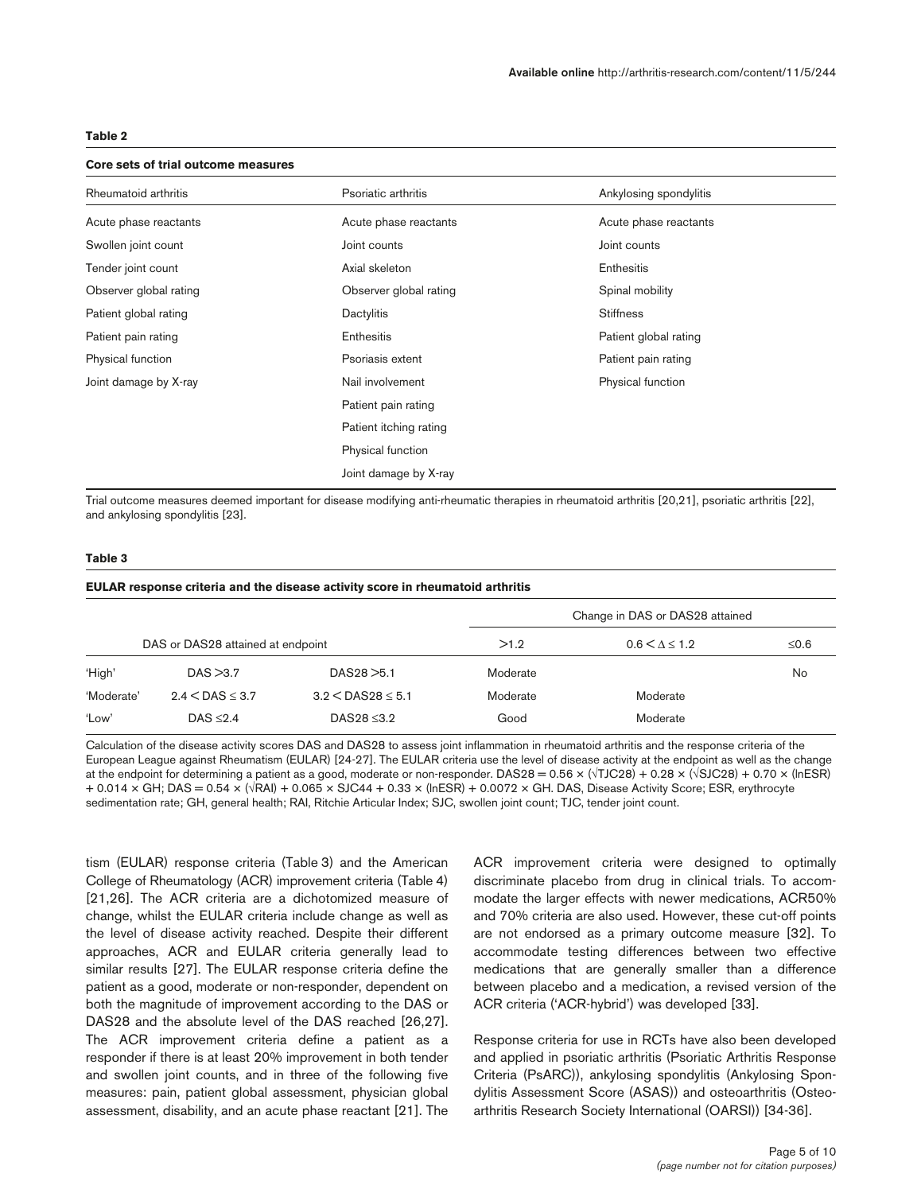| Core sets of that outcome incasures |                        |                        |
|-------------------------------------|------------------------|------------------------|
| Rheumatoid arthritis                | Psoriatic arthritis    | Ankylosing spondylitis |
| Acute phase reactants               | Acute phase reactants  | Acute phase reactants  |
| Swollen joint count                 | Joint counts           | Joint counts           |
| Tender joint count                  | Axial skeleton         | Enthesitis             |
| Observer global rating              | Observer global rating | Spinal mobility        |
| Patient global rating               | Dactylitis             | <b>Stiffness</b>       |
| Patient pain rating                 | Enthesitis             | Patient global rating  |
| Physical function                   | Psoriasis extent       | Patient pain rating    |
| Joint damage by X-ray               | Nail involvement       | Physical function      |
|                                     | Patient pain rating    |                        |
|                                     | Patient itching rating |                        |
|                                     | Physical function      |                        |
|                                     | Joint damage by X-ray  |                        |

#### **Core sets of trial outcome measures**

Trial outcome measures deemed important for disease modifying anti-rheumatic therapies in rheumatoid arthritis [20,21], psoriatic arthritis [22], and ankylosing spondylitis [23].

#### **Table 3**

#### **EULAR response criteria and the disease activity score in rheumatoid arthritis**

|            |                                   |                          |          | Change in DAS or DAS28 attained |      |
|------------|-----------------------------------|--------------------------|----------|---------------------------------|------|
|            | DAS or DAS28 attained at endpoint |                          | >1.2     | $0.6 < \Lambda \leq 1.2$        | ≤0.6 |
| 'High'     | DAS > 3.7                         | DAS28 > 5.1              | Moderate |                                 | No   |
| 'Moderate' | $2.4 <$ DAS $\leq$ 3.7            | $3.2 <$ DAS28 $\leq 5.1$ | Moderate | Moderate                        |      |
| 'Low'      | DAS $\leq$ 2.4                    | DAS28 $\leq$ 3.2         | Good     | Moderate                        |      |

Calculation of the disease activity scores DAS and DAS28 to assess joint inflammation in rheumatoid arthritis and the response criteria of the European League against Rheumatism (EULAR) [24-27]. The EULAR criteria use the level of disease activity at the endpoint as well as the change at the endpoint for determining a patient as a good, moderate or non-responder. DAS28 = 0.56 × ( $\sqrt{JIC28}$ ) + 0.28 × ( $\sqrt{SIC28}$ ) + 0.70 × (lnESR) + 0.014 × GH; DAS = 0.54 × (√RAI) + 0.065 × SJC44 + 0.33 × (lnESR) + 0.0072 × GH. DAS, Disease Activity Score; ESR, erythrocyte sedimentation rate; GH, general health; RAI, Ritchie Articular Index; SJC, swollen joint count; TJC, tender joint count.

tism (EULAR) response criteria (Table 3) and the American College of Rheumatology (ACR) improvement criteria (Table 4) [21,26]. The ACR criteria are a dichotomized measure of change, whilst the EULAR criteria include change as well as the level of disease activity reached. Despite their different approaches, ACR and EULAR criteria generally lead to similar results [27]. The EULAR response criteria define the patient as a good, moderate or non-responder, dependent on both the magnitude of improvement according to the DAS or DAS28 and the absolute level of the DAS reached [26,27]. The ACR improvement criteria define a patient as a responder if there is at least 20% improvement in both tender and swollen joint counts, and in three of the following five measures: pain, patient global assessment, physician global assessment, disability, and an acute phase reactant [21]. The

ACR improvement criteria were designed to optimally discriminate placebo from drug in clinical trials. To accommodate the larger effects with newer medications, ACR50% and 70% criteria are also used. However, these cut-off points are not endorsed as a primary outcome measure [32]. To accommodate testing differences between two effective medications that are generally smaller than a difference between placebo and a medication, a revised version of the ACR criteria ('ACR-hybrid') was developed [33].

Response criteria for use in RCTs have also been developed and applied in psoriatic arthritis (Psoriatic Arthritis Response Criteria (PsARC)), ankylosing spondylitis (Ankylosing Spondylitis Assessment Score (ASAS)) and osteoarthritis (Osteoarthritis Research Society International (OARSI)) [34-36].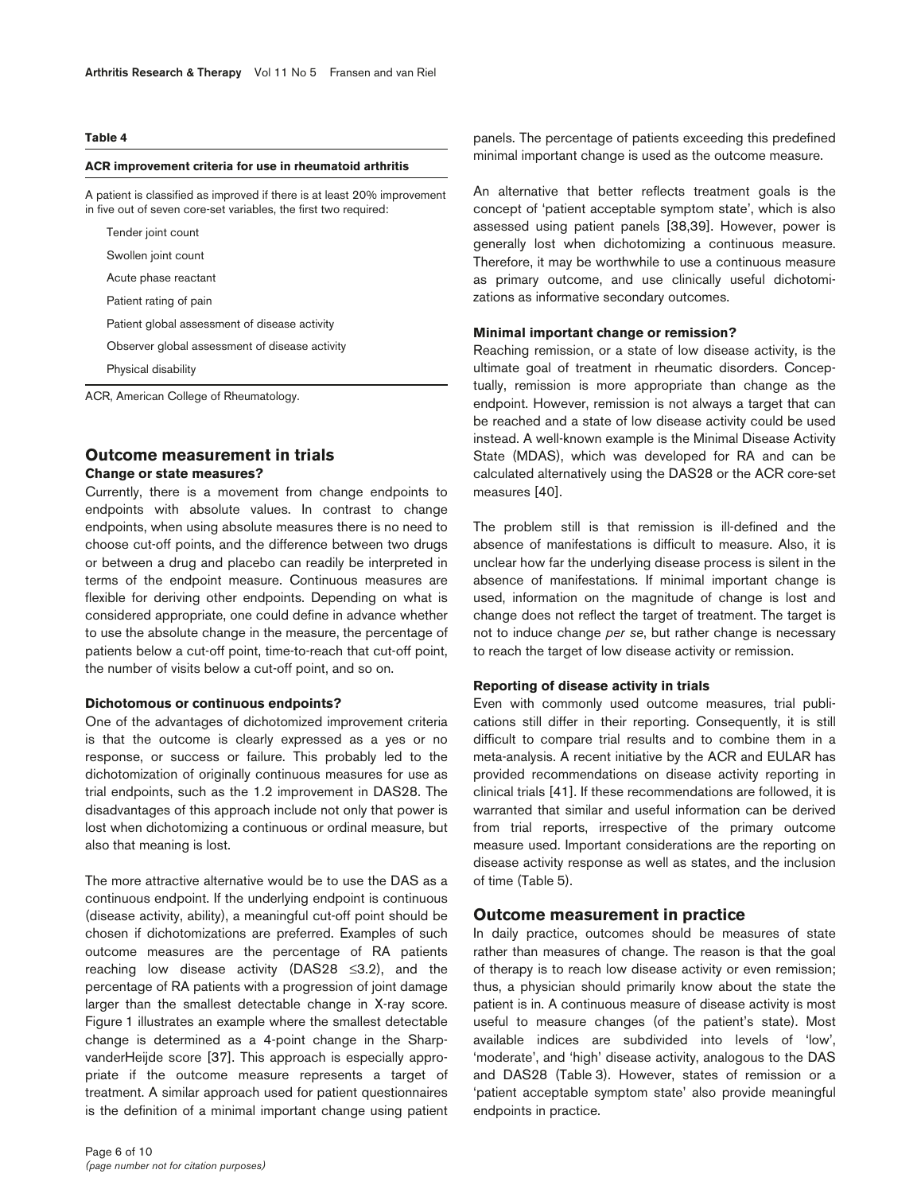#### **ACR improvement criteria for use in rheumatoid arthritis**

A patient is classified as improved if there is at least 20% improvement in five out of seven core-set variables, the first two required:

Tender joint count Swollen joint count Acute phase reactant Patient rating of pain Patient global assessment of disease activity Observer global assessment of disease activity Physical disability

ACR, American College of Rheumatology.

## **Outcome measurement in trials**

## **Change or state measures?**

Currently, there is a movement from change endpoints to endpoints with absolute values. In contrast to change endpoints, when using absolute measures there is no need to choose cut-off points, and the difference between two drugs or between a drug and placebo can readily be interpreted in terms of the endpoint measure. Continuous measures are flexible for deriving other endpoints. Depending on what is considered appropriate, one could define in advance whether to use the absolute change in the measure, the percentage of patients below a cut-off point, time-to-reach that cut-off point, the number of visits below a cut-off point, and so on.

## **Dichotomous or continuous endpoints?**

One of the advantages of dichotomized improvement criteria is that the outcome is clearly expressed as a yes or no response, or success or failure. This probably led to the dichotomization of originally continuous measures for use as trial endpoints, such as the 1.2 improvement in DAS28. The disadvantages of this approach include not only that power is lost when dichotomizing a continuous or ordinal measure, but also that meaning is lost.

The more attractive alternative would be to use the DAS as a continuous endpoint. If the underlying endpoint is continuous (disease activity, ability), a meaningful cut-off point should be chosen if dichotomizations are preferred. Examples of such outcome measures are the percentage of RA patients reaching low disease activity (DAS28 ≤3.2), and the percentage of RA patients with a progression of joint damage larger than the smallest detectable change in X-ray score. Figure 1 illustrates an example where the smallest detectable change is determined as a 4-point change in the SharpvanderHeijde score [37]. This approach is especially appropriate if the outcome measure represents a target of treatment. A similar approach used for patient questionnaires is the definition of a minimal important change using patient

panels. The percentage of patients exceeding this predefined minimal important change is used as the outcome measure.

An alternative that better reflects treatment goals is the concept of 'patient acceptable symptom state', which is also assessed using patient panels [38,39]. However, power is generally lost when dichotomizing a continuous measure. Therefore, it may be worthwhile to use a continuous measure as primary outcome, and use clinically useful dichotomizations as informative secondary outcomes.

#### **Minimal important change or remission?**

Reaching remission, or a state of low disease activity, is the ultimate goal of treatment in rheumatic disorders. Conceptually, remission is more appropriate than change as the endpoint. However, remission is not always a target that can be reached and a state of low disease activity could be used instead. A well-known example is the Minimal Disease Activity State (MDAS), which was developed for RA and can be calculated alternatively using the DAS28 or the ACR core-set measures [40].

The problem still is that remission is ill-defined and the absence of manifestations is difficult to measure. Also, it is unclear how far the underlying disease process is silent in the absence of manifestations. If minimal important change is used, information on the magnitude of change is lost and change does not reflect the target of treatment. The target is not to induce change *per se*, but rather change is necessary to reach the target of low disease activity or remission.

## **Reporting of disease activity in trials**

Even with commonly used outcome measures, trial publications still differ in their reporting. Consequently, it is still difficult to compare trial results and to combine them in a meta-analysis. A recent initiative by the ACR and EULAR has provided recommendations on disease activity reporting in clinical trials [41]. If these recommendations are followed, it is warranted that similar and useful information can be derived from trial reports, irrespective of the primary outcome measure used. Important considerations are the reporting on disease activity response as well as states, and the inclusion of time (Table 5).

## **Outcome measurement in practice**

In daily practice, outcomes should be measures of state rather than measures of change. The reason is that the goal of therapy is to reach low disease activity or even remission; thus, a physician should primarily know about the state the patient is in. A continuous measure of disease activity is most useful to measure changes (of the patient's state). Most available indices are subdivided into levels of 'low', 'moderate', and 'high' disease activity, analogous to the DAS and DAS28 (Table 3). However, states of remission or a 'patient acceptable symptom state' also provide meaningful endpoints in practice.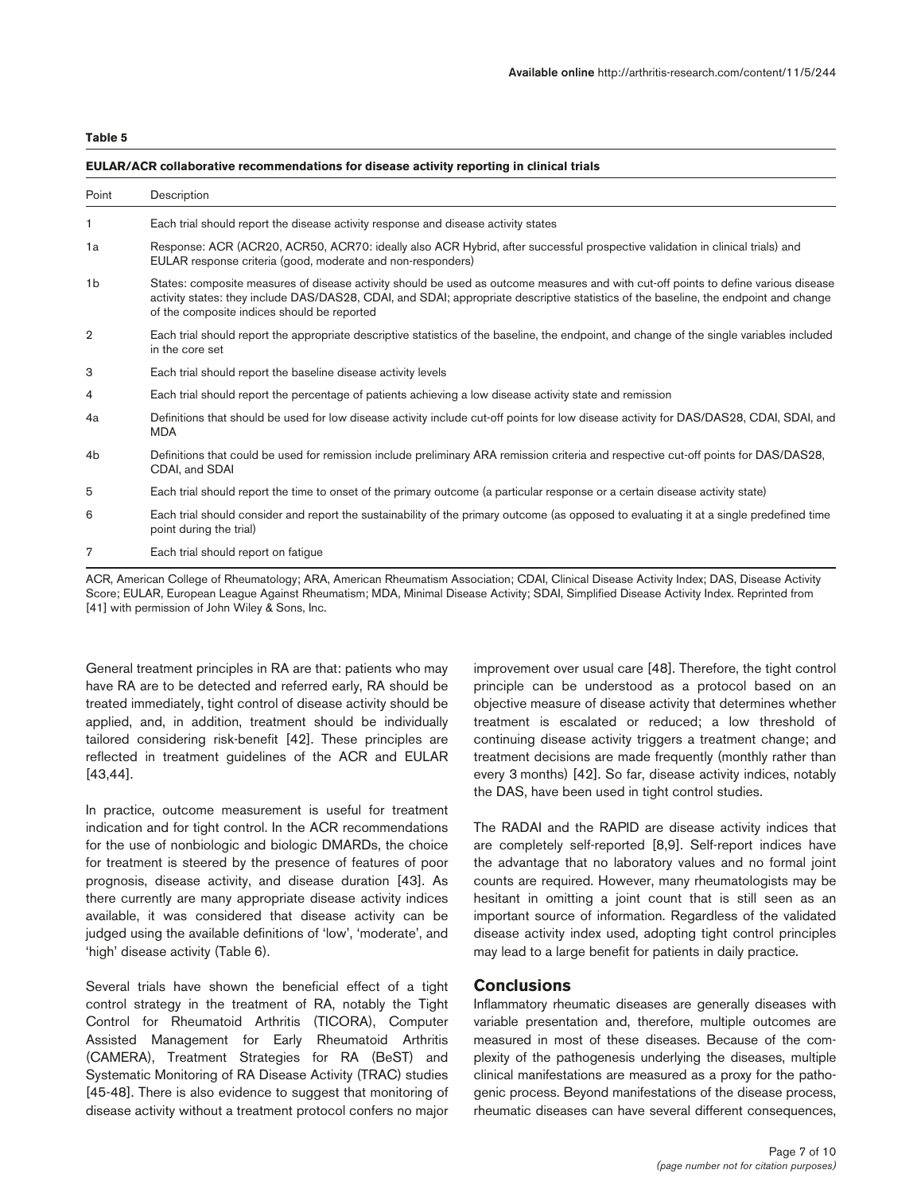| Point          | Description                                                                                                                                                                                                                                                                                                                |
|----------------|----------------------------------------------------------------------------------------------------------------------------------------------------------------------------------------------------------------------------------------------------------------------------------------------------------------------------|
|                | Each trial should report the disease activity response and disease activity states                                                                                                                                                                                                                                         |
| 1a             | Response: ACR (ACR20, ACR50, ACR70: ideally also ACR Hybrid, after successful prospective validation in clinical trials) and<br>EULAR response criteria (good, moderate and non-responders)                                                                                                                                |
| 1 <sub>b</sub> | States: composite measures of disease activity should be used as outcome measures and with cut-off points to define various disease<br>activity states: they include DAS/DAS28, CDAI, and SDAI; appropriate descriptive statistics of the baseline, the endpoint and change<br>of the composite indices should be reported |
| $\overline{2}$ | Each trial should report the appropriate descriptive statistics of the baseline, the endpoint, and change of the single variables included<br>in the core set                                                                                                                                                              |
| 3              | Each trial should report the baseline disease activity levels                                                                                                                                                                                                                                                              |
| 4              | Each trial should report the percentage of patients achieving a low disease activity state and remission                                                                                                                                                                                                                   |
| 4a             | Definitions that should be used for low disease activity include cut-off points for low disease activity for DAS/DAS28, CDAI, SDAI, and<br><b>MDA</b>                                                                                                                                                                      |
| 4 <sub>b</sub> | Definitions that could be used for remission include preliminary ARA remission criteria and respective cut-off points for DAS/DAS28,<br>CDAI, and SDAI                                                                                                                                                                     |
| 5              | Each trial should report the time to onset of the primary outcome (a particular response or a certain disease activity state)                                                                                                                                                                                              |
| 6              | Each trial should consider and report the sustainability of the primary outcome (as opposed to evaluating it at a single predefined time<br>point during the trial)                                                                                                                                                        |
| 7              | Each trial should report on fatigue                                                                                                                                                                                                                                                                                        |

#### **EULAR/ACR collaborative recommendations for disease activity reporting in clinical trials**

ACR, American College of Rheumatology; ARA, American Rheumatism Association; CDAI, Clinical Disease Activity Index; DAS, Disease Activity Score; EULAR, European League Against Rheumatism; MDA, Minimal Disease Activity; SDAI, Simplified Disease Activity Index. Reprinted from [41] with permission of John Wiley & Sons, Inc.

General treatment principles in RA are that: patients who may have RA are to be detected and referred early, RA should be treated immediately, tight control of disease activity should be applied, and, in addition, treatment should be individually tailored considering risk-benefit [42]. These principles are reflected in treatment guidelines of the ACR and EULAR [43,44].

In practice, outcome measurement is useful for treatment indication and for tight control. In the ACR recommendations for the use of nonbiologic and biologic DMARDs, the choice for treatment is steered by the presence of features of poor prognosis, disease activity, and disease duration [43]. As there currently are many appropriate disease activity indices available, it was considered that disease activity can be judged using the available definitions of 'low', 'moderate', and 'high' disease activity (Table 6).

Several trials have shown the beneficial effect of a tight control strategy in the treatment of RA, notably the Tight Control for Rheumatoid Arthritis (TICORA), Computer Assisted Management for Early Rheumatoid Arthritis (CAMERA), Treatment Strategies for RA (BeST) and Systematic Monitoring of RA Disease Activity (TRAC) studies [45-48]. There is also evidence to suggest that monitoring of disease activity without a treatment protocol confers no major

improvement over usual care [48]. Therefore, the tight control principle can be understood as a protocol based on an objective measure of disease activity that determines whether treatment is escalated or reduced; a low threshold of continuing disease activity triggers a treatment change; and treatment decisions are made frequently (monthly rather than every 3 months) [42]. So far, disease activity indices, notably the DAS, have been used in tight control studies.

The RADAI and the RAPID are disease activity indices that are completely self-reported [8,9]. Self-report indices have the advantage that no laboratory values and no formal joint counts are required. However, many rheumatologists may be hesitant in omitting a joint count that is still seen as an important source of information. Regardless of the validated disease activity index used, adopting tight control principles may lead to a large benefit for patients in daily practice.

## **Conclusions**

Inflammatory rheumatic diseases are generally diseases with variable presentation and, therefore, multiple outcomes are measured in most of these diseases. Because of the complexity of the pathogenesis underlying the diseases, multiple clinical manifestations are measured as a proxy for the pathogenic process. Beyond manifestations of the disease process, rheumatic diseases can have several different consequences,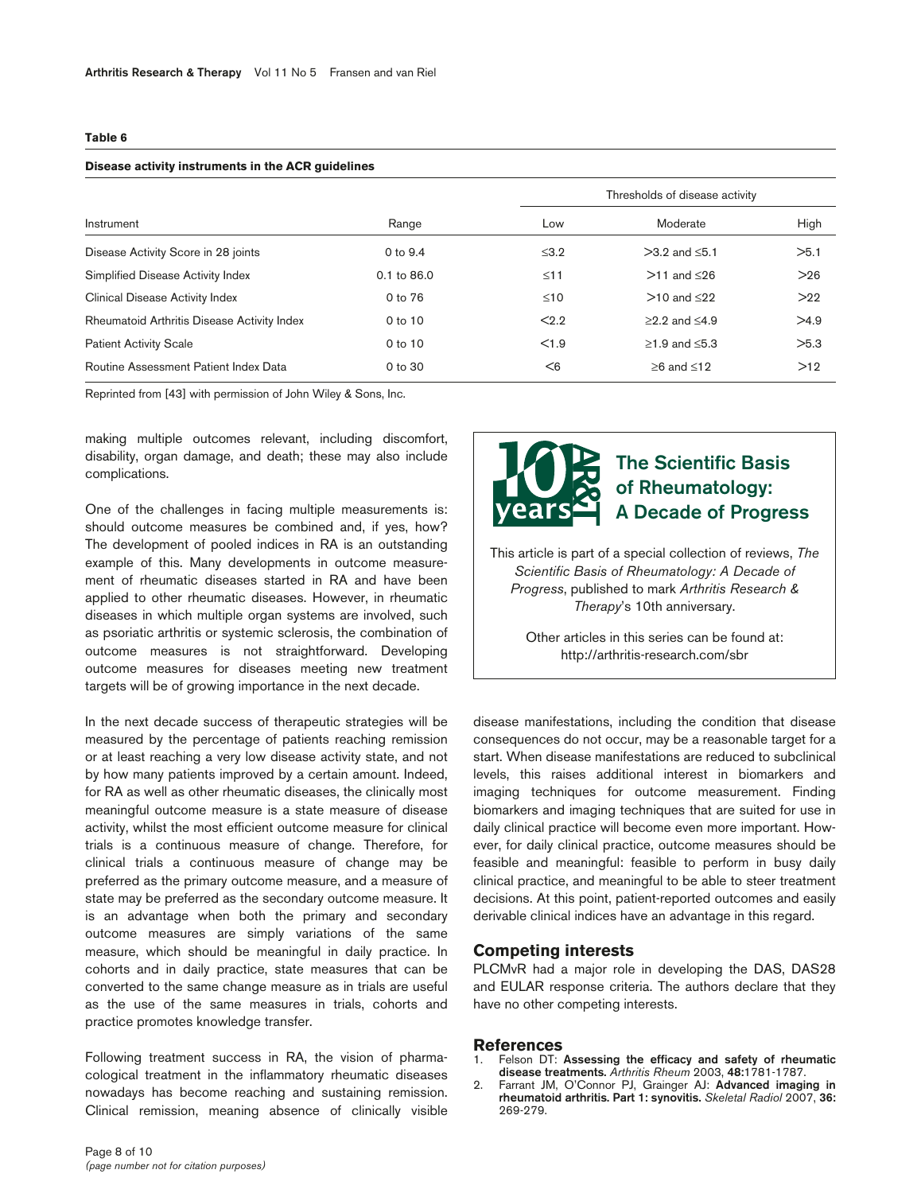#### **Disease activity instruments in the ACR guidelines**

|                                             |                    | Thresholds of disease activity |                           |       |
|---------------------------------------------|--------------------|--------------------------------|---------------------------|-------|
| Instrument                                  | Range              | Low                            | Moderate                  | High  |
| Disease Activity Score in 28 joints         | $0$ to $9.4$       | $\leq 3.2$                     | $>3.2$ and $\leq 5.1$     | >5.1  |
| Simplified Disease Activity Index           | $0.1$ to $86.0$    | $\leq 11$                      | $>11$ and $\leq 26$       | $>26$ |
| <b>Clinical Disease Activity Index</b>      | 0 to 76            | $\leq 10$                      | $>10$ and $\leq$ 22       | $>22$ |
| Rheumatoid Arthritis Disease Activity Index | 0 to 10            | < 2.2                          | $>2.2$ and $\leq 4.9$     | >4.9  |
| <b>Patient Activity Scale</b>               | $0$ to $10$        | < 1.9                          | $\geq$ 1.9 and $\leq$ 5.3 | >5.3  |
| Routine Assessment Patient Index Data       | 0 <sub>to</sub> 30 | $6$                            | $\geq$ 6 and $\leq$ 12    | $>12$ |

Reprinted from [43] with permission of John Wiley & Sons, Inc.

making multiple outcomes relevant, including discomfort, disability, organ damage, and death; these may also include complications.

One of the challenges in facing multiple measurements is: should outcome measures be combined and, if yes, how? The development of pooled indices in RA is an outstanding example of this. Many developments in outcome measurement of rheumatic diseases started in RA and have been applied to other rheumatic diseases. However, in rheumatic diseases in which multiple organ systems are involved, such as psoriatic arthritis or systemic sclerosis, the combination of outcome measures is not straightforward. Developing outcome measures for diseases meeting new treatment targets will be of growing importance in the next decade.

In the next decade success of therapeutic strategies will be measured by the percentage of patients reaching remission or at least reaching a very low disease activity state, and not by how many patients improved by a certain amount. Indeed, for RA as well as other rheumatic diseases, the clinically most meaningful outcome measure is a state measure of disease activity, whilst the most efficient outcome measure for clinical trials is a continuous measure of change. Therefore, for clinical trials a continuous measure of change may be preferred as the primary outcome measure, and a measure of state may be preferred as the secondary outcome measure. It is an advantage when both the primary and secondary outcome measures are simply variations of the same measure, which should be meaningful in daily practice. In cohorts and in daily practice, state measures that can be converted to the same change measure as in trials are useful as the use of the same measures in trials, cohorts and practice promotes knowledge transfer.

Following treatment success in RA, the vision of pharmacological treatment in the inflammatory rheumatic diseases nowadays has become reaching and sustaining remission. Clinical remission, meaning absence of clinically visible



This article is part of a special collection of reviews, *The Scientific Basis of Rheumatology: A Decade of Progress*, published to mark *Arthritis Research & Therapy*'s 10th anniversary.

> Other articles in this series can be found at: http://arthritis-research.com/sbr

disease manifestations, including the condition that disease consequences do not occur, may be a reasonable target for a start. When disease manifestations are reduced to subclinical levels, this raises additional interest in biomarkers and imaging techniques for outcome measurement. Finding biomarkers and imaging techniques that are suited for use in daily clinical practice will become even more important. However, for daily clinical practice, outcome measures should be feasible and meaningful: feasible to perform in busy daily clinical practice, and meaningful to be able to steer treatment decisions. At this point, patient-reported outcomes and easily derivable clinical indices have an advantage in this regard.

## **Competing interests**

PLCMvR had a major role in developing the DAS, DAS28 and EULAR response criteria. The authors declare that they have no other competing interests.

#### **References**

- 1. Felson DT: **Assessing the efficacy and safety of rheumatic disease treatments.** *Arthritis Rheum* 2003, **48:**1781-1787.
- 2. Farrant JM, O'Connor PJ, Grainger AJ: **Advanced imaging in rheumatoid arthritis. Part 1: synovitis.** *Skeletal Radiol* 2007, **36:** 269-279.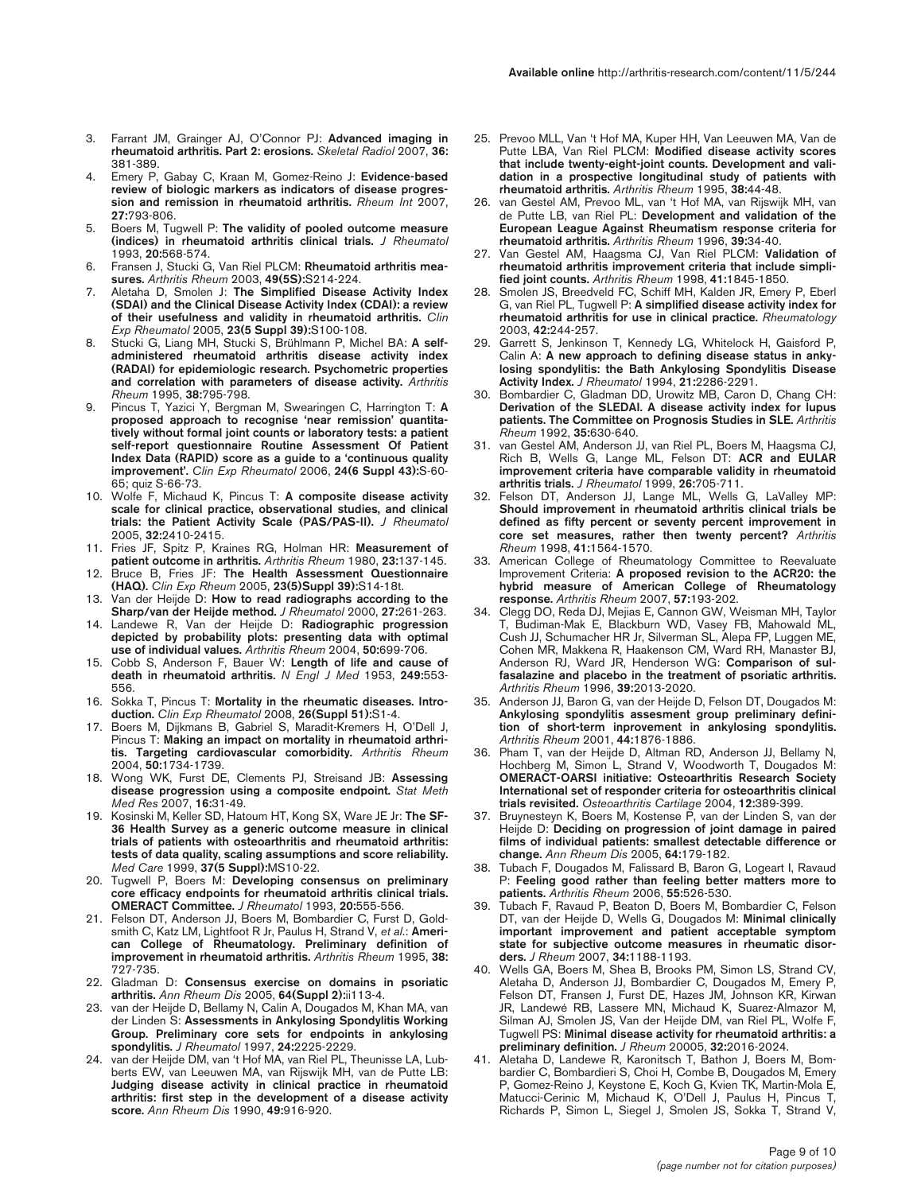- 3. Farrant JM, Grainger AJ, O'Connor PJ: **Advanced imaging in rheumatoid arthritis. Part 2: erosions.** *Skeletal Radiol* 2007, **36:** 381-389.
- 4. Emery P, Gabay C, Kraan M, Gomez-Reino J: **Evidence-based review of biologic markers as indicators of disease progression and remission in rheumatoid arthritis.** *Rheum Int* 2007, **27:**793-806.
- 5. Boers M, Tugwell P: **The validity of pooled outcome measure (indices) in rheumatoid arthritis clinical trials.** *J Rheumatol* 1993, **20:**568-574.
- 6. Fransen J, Stucki G, Van Riel PLCM: **Rheumatoid arthritis measures.** *Arthritis Rheum* 2003, **49(5S):**S214-224.
- 7. Aletaha D, Smolen J: **The Simplified Disease Activity Index (SDAI) and the Clinical Disease Activity Index (CDAI): a review of their usefulness and validity in rheumatoid arthritis.** *Clin Exp Rheumatol* 2005, **23(5 Suppl 39):**S100-108.
- 8. Stucki G, Liang MH, Stucki S, Brühlmann P, Michel BA: **A selfadministered rheumatoid arthritis disease activity index (RADAI) for epidemiologic research. Psychometric properties and correlation with parameters of disease activity.** *Arthritis Rheum* 1995, **38:**795-798.
- 9. Pincus T, Yazici Y, Bergman M, Swearingen C, Harrington T: **A proposed approach to recognise 'near remission' quantitatively without formal joint counts or laboratory tests: a patient self-report questionnaire Routine Assessment Of Patient Index Data (RAPID) score as a guide to a 'continuous quality improvement'.** *Clin Exp Rheumatol* 2006, **24(6 Suppl 43):**S-60- 65; quiz S-66-73.
- 10. Wolfe F, Michaud K, Pincus T: **A composite disease activity scale for clinical practice, observational studies, and clinical trials: the Patient Activity Scale (PAS/PAS-II).** *J Rheumatol* 2005, **32:**2410-2415.
- 11. Fries JF, Spitz P, Kraines RG, Holman HR: **Measurement of patient outcome in arthritis.** *Arthritis Rheum* 1980, **23:**137-145.
- 12. Bruce B, Fries JF: **The Health Assessment Questionnaire (HAQ).** *Clin Exp Rheum* 2005, **23(5)Suppl 39):**S14-18t.
- 13. Van der Heijde D: **How to read radiographs according to the Sharp/van der Heijde method.** *J Rheumatol* 2000, **27:**261-263.
- 14. Landewe R, Van der Heijde D: **Radiographic progression depicted by probability plots: presenting data with optimal use of individual values.** *Arthritis Rheum* 2004, **50:**699-706.
- 15. Cobb S, Anderson F, Bauer W: **Length of life and cause of death in rheumatoid arthritis.** *N Engl J Med* 1953, **249:**553- 556.
- 16. Sokka T, Pincus T: **Mortality in the rheumatic diseases. Introduction.** *Clin Exp Rheumatol* 2008, **26(Suppl 51):**S1-4.
- 17. Boers M, Dijkmans B, Gabriel S, Maradit-Kremers H, O'Dell J, Pincus T: **Making an impact on mortality in rheumatoid arthritis. Targeting cardiovascular comorbidity.** *Arthritis Rheum* 2004, **50:**1734-1739.
- 18. Wong WK, Furst DE, Clements PJ, Streisand JB: **Assessing disease progression using a composite endpoint.** *Stat Meth Med Res* 2007, **16:**31-49.
- 19. Kosinski M, Keller SD, Hatoum HT, Kong SX, Ware JE Jr: **The SF-36 Health Survey as a generic outcome measure in clinical trials of patients with osteoarthritis and rheumatoid arthritis: tests of data quality, scaling assumptions and score reliability.** *Med Care* 1999, **37(5 Suppl):**MS10-22.
- 20. Tugwell P, Boers M: **Developing consensus on preliminary core efficacy endpoints for rheumatoid arthritis clinical trials. OMERACT Committee.** *J Rheumatol* 1993, **20:**555-556.
- 21. Felson DT, Anderson JJ, Boers M, Bombardier C, Furst D, Goldsmith C, Katz LM, Lightfoot R Jr, Paulus H, Strand V, *et al*.: **American College of Rheumatology. Preliminary definition of improvement in rheumatoid arthritis.** *Arthritis Rheum* 1995, **38:** 727-735.
- 22. Gladman D: **Consensus exercise on domains in psoriatic arthritis.** *Ann Rheum Dis* 2005, **64(Suppl 2):**ii113-4.
- 23. van der Heijde D, Bellamy N, Calin A, Dougados M, Khan MA, van der Linden S: **Assessments in Ankylosing Spondylitis Working Group. Preliminary core sets for endpoints in ankylosing spondylitis.** *J Rheumatol* 1997, **24:**2225-2229.
- 24. van der Heijde DM, van 't Hof MA, van Riel PL, Theunisse LA, Lubberts EW, van Leeuwen MA, van Rijswijk MH, van de Putte LB: **Judging disease activity in clinical practice in rheumatoid arthritis: first step in the development of a disease activity score.** *Ann Rheum Dis* 1990, **49:**916-920.
- 25. Prevoo MLL, Van 't Hof MA, Kuper HH, Van Leeuwen MA, Van de Putte LBA, Van Riel PLCM: **Modified disease activity scores that include twenty-eight-joint counts. Development and validation in a prospective longitudinal study of patients with rheumatoid arthritis.** *Arthritis Rheum* 1995, **38:**44-48.
- 26. van Gestel AM, Prevoo ML, van 't Hof MA, van Rijswijk MH, van de Putte LB, van Riel PL: **Development and validation of the European League Against Rheumatism response criteria for rheumatoid arthritis.** *Arthritis Rheum* 1996, **39:**34-40.
- 27. Van Gestel AM, Haagsma CJ, Van Riel PLCM: **Validation of rheumatoid arthritis improvement criteria that include simplified joint counts.** *Arthritis Rheum* 1998, **41:**1845-1850.
- 28. Smolen JS, Breedveld FC, Schiff MH, Kalden JR, Emery P, Eberl G, van Riel PL, Tugwell P: **A simplified disease activity index for rheumatoid arthritis for use in clinical practice.** *Rheumatology* 2003, **42:**244-257.
- 29. Garrett S, Jenkinson T, Kennedy LG, Whitelock H, Gaisford P, Calin A: **A new approach to defining disease status in ankylosing spondylitis: the Bath Ankylosing Spondylitis Disease Activity Index.** *J Rheumatol* 1994, **21:**2286-2291.
- 30. Bombardier C, Gladman DD, Urowitz MB, Caron D, Chang CH: **Derivation of the SLEDAI. A disease activity index for lupus patients. The Committee on Prognosis Studies in SLE.** *Arthritis Rheum* 1992, **35:**630-640.
- 31. van Gestel AM, Anderson JJ, van Riel PL, Boers M, Haagsma CJ, Rich B, Wells G, Lange ML, Felson DT: **ACR and EULAR improvement criteria have comparable validity in rheumatoid arthritis trials.** *J Rheumatol* 1999, **26:**705-711.
- 32. Felson DT, Anderson JJ, Lange ML, Wells G, LaValley MP: **Should improvement in rheumatoid arthritis clinical trials be defined as fifty percent or seventy percent improvement in core set measures, rather then twenty percent?** *Arthritis Rheum* 1998, **41:**1564-1570.
- 33. American College of Rheumatology Committee to Reevaluate Improvement Criteria: **A proposed revision to the ACR20: the hybrid measure of American College of Rheumatology response.** *Arthritis Rheum* 2007, **57:**193-202.
- 34. Clegg DO, Reda DJ, Mejias E, Cannon GW, Weisman MH, Taylor T, Budiman-Mak E, Blackburn WD, Vasey FB, Mahowald ML, Cush JJ, Schumacher HR Jr, Silverman SL, Alepa FP, Luggen ME, Cohen MR, Makkena R, Haakenson CM, Ward RH, Manaster BJ, Anderson RJ, Ward JR, Henderson WG: **Comparison of sulfasalazine and placebo in the treatment of psoriatic arthritis.** *Arthritis Rheum* 1996, **39:**2013-2020.
- 35. Anderson JJ, Baron G, van der Heijde D, Felson DT, Dougados M: **Ankylosing spondylitis assesment group preliminary definition of short-term inprovement in ankylosing spondylitis.** *Arthritis Rheum* 2001, **44:**1876-1886.
- 36. Pham T, van der Heijde D, Altman RD, Anderson JJ, Bellamy N, Hochberg M, Simon L, Strand V, Woodworth T, Dougados M: **OMERACT-OARSI initiative: Osteoarthritis Research Society International set of responder criteria for osteoarthritis clinical trials revisited.** *Osteoarthritis Cartilage* 2004, **12:**389-399.
- 37. Bruynesteyn K, Boers M, Kostense P, van der Linden S, van der Heijde D: **Deciding on progression of joint damage in paired films of individual patients: smallest detectable difference or change.** *Ann Rheum Dis* 2005, **64:**179-182.
- 38. Tubach F, Dougados M, Falissard B, Baron G, Logeart I, Ravaud P: **Feeling good rather than feeling better matters more to patients.** *Arthritis Rheum* 2006, **55:**526-530.
- Tubach F, Ravaud P, Beaton D, Boers M, Bombardier C, Felson DT, van der Heijde D, Wells G, Dougados M: **Minimal clinically important improvement and patient acceptable symptom state for subjective outcome measures in rheumatic disorders.** *J Rheum* 2007, **34:**1188-1193.
- 40. Wells GA, Boers M, Shea B, Brooks PM, Simon LS, Strand CV, Aletaha D, Anderson JJ, Bombardier C, Dougados M, Emery P, Felson DT, Fransen J, Furst DE, Hazes JM, Johnson KR, Kirwan JR, Landewé RB, Lassere MN, Michaud K, Suarez-Almazor M, Silman AJ, Smolen JS, Van der Heijde DM, van Riel PL, Wolfe F, Tugwell PS: **Minimal disease activity for rheumatoid arthritis: a preliminary definition.** *J Rheum* 20005, **32:**2016-2024.
- 41. Aletaha D, Landewe R, Karonitsch T, Bathon J, Boers M, Bombardier C, Bombardieri S, Choi H, Combe B, Dougados M, Emery P, Gomez-Reino J, Keystone E, Koch G, Kvien TK, Martin-Mola E, Matucci-Cerinic M, Michaud K, O'Dell J, Paulus H, Pincus T, Richards P, Simon L, Siegel J, Smolen JS, Sokka T, Strand V,